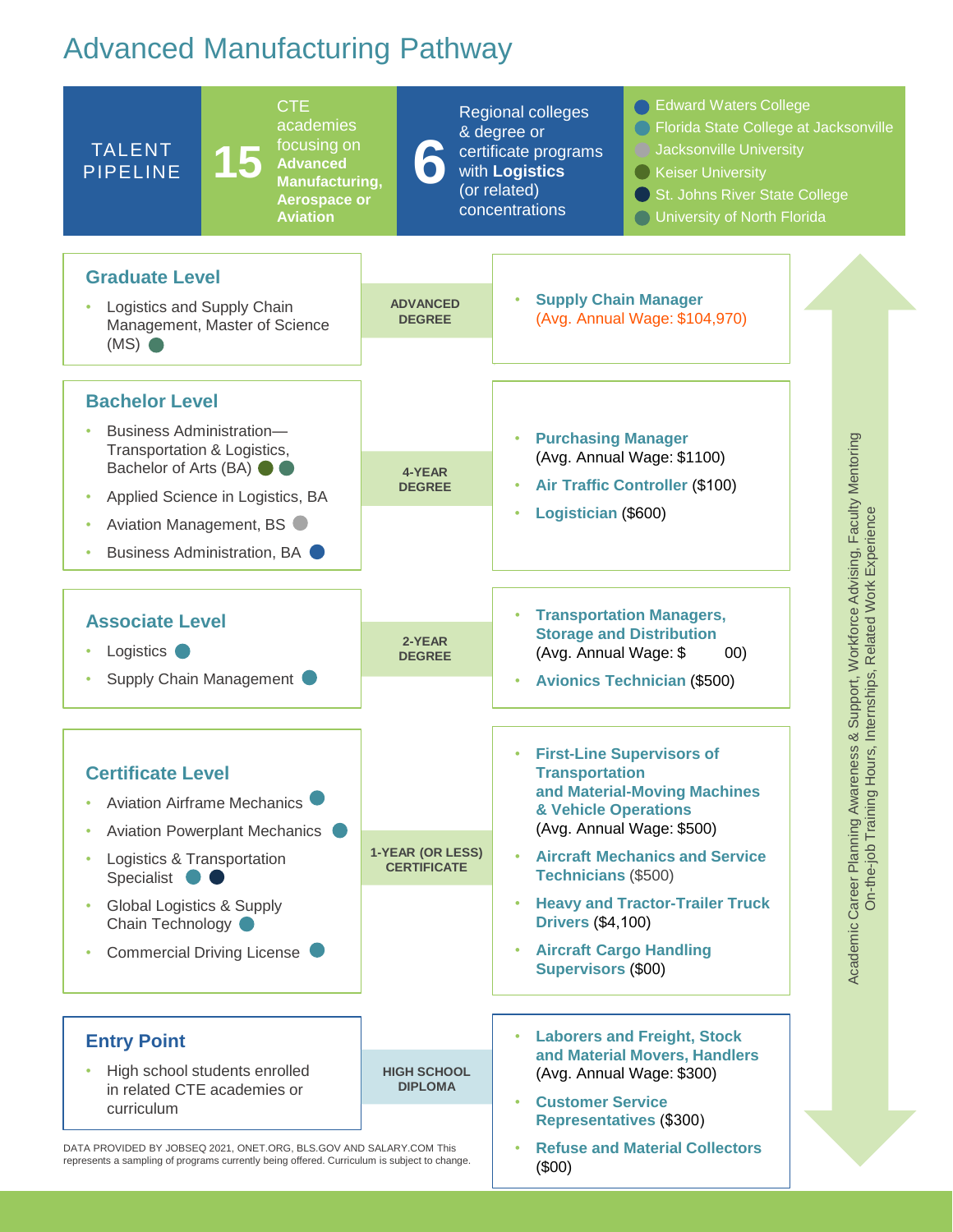## Advanced Manufacturing Pathway